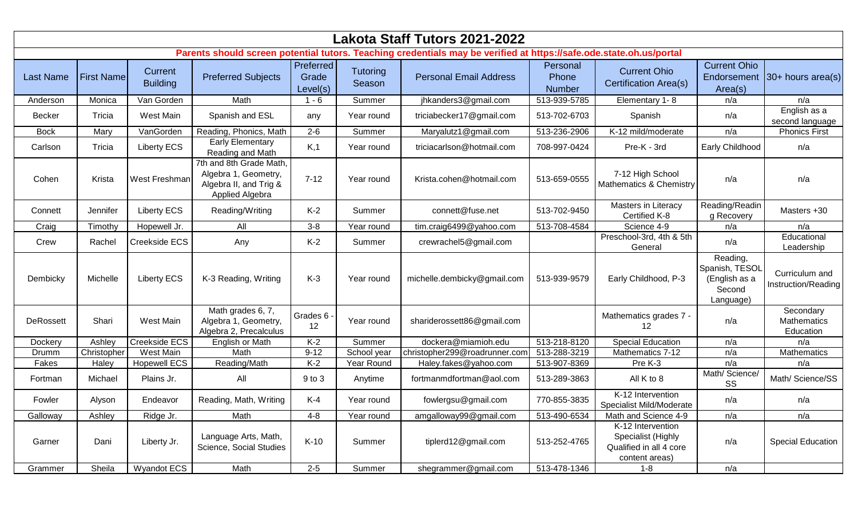| Lakota Staff Tutors 2021-2022                                                                                       |                   |                            |                                                                                              |                                |                           |                               |                             |                                                                                      |                                                                    |                                       |  |  |
|---------------------------------------------------------------------------------------------------------------------|-------------------|----------------------------|----------------------------------------------------------------------------------------------|--------------------------------|---------------------------|-------------------------------|-----------------------------|--------------------------------------------------------------------------------------|--------------------------------------------------------------------|---------------------------------------|--|--|
| Parents should screen potential tutors. Teaching credentials may be verified at https://safe.ode.state.oh.us/portal |                   |                            |                                                                                              |                                |                           |                               |                             |                                                                                      |                                                                    |                                       |  |  |
| <b>Last Name</b>                                                                                                    | <b>First Name</b> | Current<br><b>Building</b> | <b>Preferred Subjects</b>                                                                    | Preferred<br>Grade<br>Level(s) | <b>Tutoring</b><br>Season | <b>Personal Email Address</b> | Personal<br>Phone<br>Number | <b>Current Ohio</b><br><b>Certification Area(s)</b>                                  | <b>Current Ohio</b><br>Area(s)                                     | Endorsement $30+$ hours area(s)       |  |  |
| Anderson                                                                                                            | Monica            | Van Gorden                 | Math                                                                                         | $1 - 6$                        | Summer                    | jhkanders3@gmail.com          | 513-939-5785                | Elementary 1-8                                                                       | n/a                                                                | n/a                                   |  |  |
| <b>Becker</b>                                                                                                       | Tricia            | West Main                  | Spanish and ESL                                                                              | any                            | Year round                | triciabecker17@gmail.com      | 513-702-6703                | Spanish                                                                              | n/a                                                                | English as a<br>second language       |  |  |
| <b>Bock</b>                                                                                                         | Mary              | VanGorden                  | Reading, Phonics, Math                                                                       | $2 - 6$                        | Summer                    | Maryalutz1@gmail.com          | 513-236-2906                | K-12 mild/moderate                                                                   | n/a                                                                | <b>Phonics First</b>                  |  |  |
| Carlson                                                                                                             | Tricia            | <b>Liberty ECS</b>         | <b>Early Elementary</b><br>Reading and Math                                                  | K,1                            | Year round                | triciacarlson@hotmail.com     | 708-997-0424                | Pre-K - 3rd                                                                          | Early Childhood                                                    | n/a                                   |  |  |
| Cohen                                                                                                               | Krista            | West Freshman              | 7th and 8th Grade Math,<br>Algebra 1, Geometry,<br>Algebra II, and Trig &<br>Applied Algebra | $7 - 12$                       | Year round                | Krista.cohen@hotmail.com      | 513-659-0555                | 7-12 High School<br>Mathematics & Chemistry                                          | n/a                                                                | n/a                                   |  |  |
| Connett                                                                                                             | Jennifer          | <b>Liberty ECS</b>         | Reading/Writing                                                                              | $K-2$                          | Summer                    | connett@fuse.net              | 513-702-9450                | Masters in Literacy<br>Certified K-8                                                 | Reading/Readin<br>g Recovery                                       | Masters +30                           |  |  |
| Craig                                                                                                               | Timothy           | Hopewell Jr.               | All                                                                                          | $3 - 8$                        | Year round                | tim.craig6499@yahoo.com       | 513-708-4584                | Science 4-9                                                                          | n/a                                                                | n/a                                   |  |  |
| Crew                                                                                                                | Rachel            | Creekside ECS              | Any                                                                                          | $K-2$                          | Summer                    | crewrachel5@gmail.com         |                             | Preschool-3rd, 4th & 5th<br>General                                                  | n/a                                                                | Educational<br>Leadership             |  |  |
| Dembicky                                                                                                            | Michelle          | <b>Liberty ECS</b>         | K-3 Reading, Writing                                                                         | $K-3$                          | Year round                | michelle.dembicky@gmail.com   | 513-939-9579                | Early Childhood, P-3                                                                 | Reading,<br>Spanish, TESOL<br>(English as a<br>Second<br>Language) | Curriculum and<br>Instruction/Reading |  |  |
| DeRossett                                                                                                           | Shari             | West Main                  | Math grades 6, 7,<br>Algebra 1, Geometry,<br>Algebra 2, Precalculus                          | Grades 6 -<br>12               | Year round                | shariderossett86@gmail.com    |                             | Mathematics grades 7 -<br>12                                                         | n/a                                                                | Secondary<br>Mathematics<br>Education |  |  |
| Dockery                                                                                                             | Ashley            | Creekside ECS              | <b>English or Math</b>                                                                       | $K-2$                          | Summer                    | dockera@miamioh.edu           | 513-218-8120                | <b>Special Education</b>                                                             | n/a                                                                | n/a                                   |  |  |
| Drumm                                                                                                               | Christopher       | West Main                  | Math                                                                                         | $9 - 12$                       | School year               | christopher299@roadrunner.com | 513-288-3219                | Mathematics 7-12                                                                     | n/a                                                                | Mathematics                           |  |  |
| Fakes                                                                                                               | Haley             | <b>Hopewell ECS</b>        | Reading/Math                                                                                 | $K-2$                          | Year Round                | Haley.fakes@yahoo.com         | 513-907-8369                | Pre K-3                                                                              | n/a                                                                | n/a                                   |  |  |
| Fortman                                                                                                             | Michael           | Plains Jr.                 | All                                                                                          | 9 to 3                         | Anytime                   | fortmanmdfortman@aol.com      | 513-289-3863                | All K to 8                                                                           | Math/ Science/<br>SS                                               | Math/ Science/SS                      |  |  |
| Fowler                                                                                                              | Alyson            | Endeavor                   | Reading, Math, Writing                                                                       | $K-4$                          | Year round                | fowlergsu@gmail.com           | 770-855-3835                | K-12 Intervention<br>Specialist Mild/Moderate                                        | n/a                                                                | n/a                                   |  |  |
| Galloway                                                                                                            | Ashley            | Ridge Jr.                  | Math                                                                                         | $4 - 8$                        | Year round                | amgalloway99@gmail.com        | 513-490-6534                | Math and Science 4-9                                                                 | n/a                                                                | n/a                                   |  |  |
| Garner                                                                                                              | Dani              | Liberty Jr.                | Language Arts, Math,<br>Science, Social Studies                                              | $K-10$                         | Summer                    | tiplerd12@gmail.com           | 513-252-4765                | K-12 Intervention<br>Specialist (Highly<br>Qualified in all 4 core<br>content areas) | n/a                                                                | <b>Special Education</b>              |  |  |
| Grammer                                                                                                             | Sheila            | Wyandot ECS                | Math                                                                                         | $2 - 5$                        | Summer                    | shegrammer@gmail.com          | 513-478-1346                | $1 - 8$                                                                              | n/a                                                                |                                       |  |  |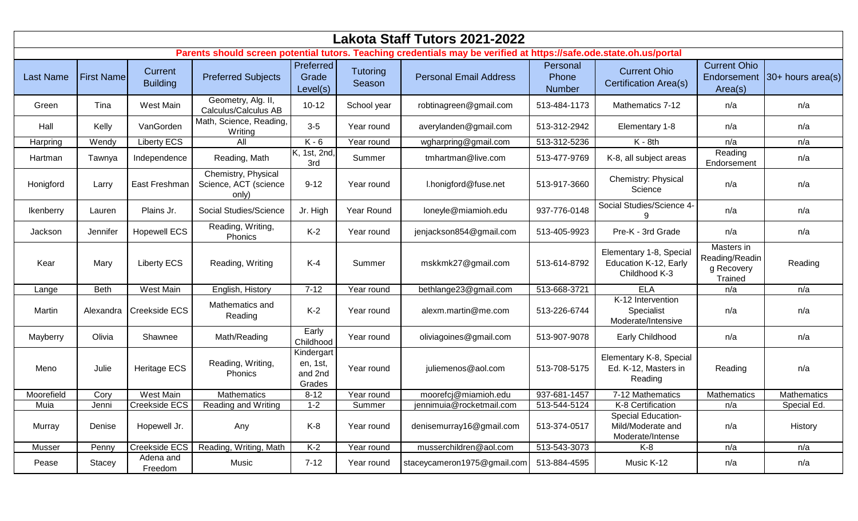| Lakota Staff Tutors 2021-2022                                                                                       |                   |                            |                                                       |                                             |                           |                               |                             |                                                                   |                                                       |                               |  |  |
|---------------------------------------------------------------------------------------------------------------------|-------------------|----------------------------|-------------------------------------------------------|---------------------------------------------|---------------------------|-------------------------------|-----------------------------|-------------------------------------------------------------------|-------------------------------------------------------|-------------------------------|--|--|
| Parents should screen potential tutors. Teaching credentials may be verified at https://safe.ode.state.oh.us/portal |                   |                            |                                                       |                                             |                           |                               |                             |                                                                   |                                                       |                               |  |  |
| <b>Last Name</b>                                                                                                    | <b>First Name</b> | Current<br><b>Building</b> | <b>Preferred Subjects</b>                             | Preferred<br>Grade<br>Level(s)              | <b>Tutoring</b><br>Season | <b>Personal Email Address</b> | Personal<br>Phone<br>Number | <b>Current Ohio</b><br><b>Certification Area(s)</b>               | <b>Current Ohio</b><br>Area(s)                        | Endorsement 30+ hours area(s) |  |  |
| Green                                                                                                               | Tina              | West Main                  | Geometry, Alg. II,<br>Calculus/Calculus AB            | $10 - 12$                                   | School year               | robtinagreen@gmail.com        | 513-484-1173                | Mathematics 7-12                                                  | n/a                                                   | n/a                           |  |  |
| Hall                                                                                                                | Kelly             | VanGorden                  | Math, Science, Reading,<br>Writing                    | $3-5$                                       | Year round                | averylanden@gmail.com         | 513-312-2942                | Elementary 1-8                                                    | n/a                                                   | n/a                           |  |  |
| Harpring                                                                                                            | Wendy             | <b>Liberty ECS</b>         | All                                                   | $K - 6$                                     | Year round                | wgharpring@gmail.com          | 513-312-5236                | $K - 8th$                                                         | n/a                                                   | n/a                           |  |  |
| Hartman                                                                                                             | Tawnya            | Independence               | Reading, Math                                         | K, 1st, 2nd,<br>3rd                         | Summer                    | tmhartman@live.com            | 513-477-9769                | K-8, all subject areas                                            | Reading<br>Endorsement                                | n/a                           |  |  |
| Honigford                                                                                                           | Larry             | East Freshman              | Chemistry, Physical<br>Science, ACT (science<br>only) | $9 - 12$                                    | Year round                | I.honigford@fuse.net          | 513-917-3660                | Chemistry: Physical<br>Science                                    | n/a                                                   | n/a                           |  |  |
| Ikenberry                                                                                                           | Lauren            | Plains Jr.                 | Social Studies/Science                                | Jr. High                                    | Year Round                | loneyle@miamioh.edu           | 937-776-0148                | Social Studies/Science 4-                                         | n/a                                                   | n/a                           |  |  |
| Jackson                                                                                                             | <b>Jennifer</b>   | <b>Hopewell ECS</b>        | Reading, Writing,<br>Phonics                          | $K-2$                                       | Year round                | jenjackson854@gmail.com       | 513-405-9923                | Pre-K - 3rd Grade                                                 | n/a                                                   | n/a                           |  |  |
| Kear                                                                                                                | Mary              | <b>Liberty ECS</b>         | Reading, Writing                                      | $K-4$                                       | Summer                    | mskkmk27@gmail.com            | 513-614-8792                | Elementary 1-8, Special<br>Education K-12, Early<br>Childhood K-3 | Masters in<br>Reading/Readin<br>g Recovery<br>Trained | Reading                       |  |  |
| Lange                                                                                                               | <b>Beth</b>       | West Main                  | English, History                                      | $7 - 12$                                    | Year round                | bethlange23@gmail.com         | 513-668-3721                | <b>ELA</b>                                                        | n/a                                                   | n/a                           |  |  |
| Martin                                                                                                              | Alexandra         | Creekside ECS              | Mathematics and<br>Reading                            | $K-2$                                       | Year round                | alexm.martin@me.com           | 513-226-6744                | K-12 Intervention<br>Specialist<br>Moderate/Intensive             | n/a                                                   | n/a                           |  |  |
| Mayberry                                                                                                            | Olivia            | Shawnee                    | Math/Reading                                          | Early<br>Childhood                          | Year round                | oliviagoines@gmail.com        | 513-907-9078                | Early Childhood                                                   | n/a                                                   | n/a                           |  |  |
| Meno                                                                                                                | Julie             | <b>Heritage ECS</b>        | Reading, Writing,<br>Phonics                          | Kindergart<br>en, 1st,<br>and 2nd<br>Grades | Year round                | juliemenos@aol.com            | 513-708-5175                | Elementary K-8, Special<br>Ed. K-12, Masters in<br>Reading        | Reading                                               | n/a                           |  |  |
| Moorefield                                                                                                          | Cory              | <b>West Main</b>           | <b>Mathematics</b>                                    | $8 - 12$                                    | Year round                | moorefcj@miamioh.edu          | 937-681-1457                | 7-12 Mathematics                                                  | Mathematics                                           | Mathematics                   |  |  |
| Muia                                                                                                                | Jenni             | Creekside ECS              | Reading and Writing                                   | $1 - 2$                                     | Summer                    | jennimuia@rocketmail.com      | 513-544-5124                | K-8 Certification                                                 | n/a                                                   | Special Ed.                   |  |  |
| Murray                                                                                                              | Denise            | Hopewell Jr.               | Any                                                   | $K-8$                                       | Year round                | denisemurray16@gmail.com      | 513-374-0517                | Special Education-<br>Mild/Moderate and<br>Moderate/Intense       | n/a                                                   | History                       |  |  |
| Musser                                                                                                              | Penny             | Creekside ECS              | Reading, Writing, Math                                | $K-2$                                       | Year round                | musserchildren@aol.com        | 513-543-3073                | $K-8$                                                             | n/a                                                   | n/a                           |  |  |
| Pease                                                                                                               | Stacey            | Adena and<br>Freedom       | Music                                                 | $7 - 12$                                    | Year round                | staceycameron1975@gmail.com   | 513-884-4595                | Music K-12                                                        | n/a                                                   | n/a                           |  |  |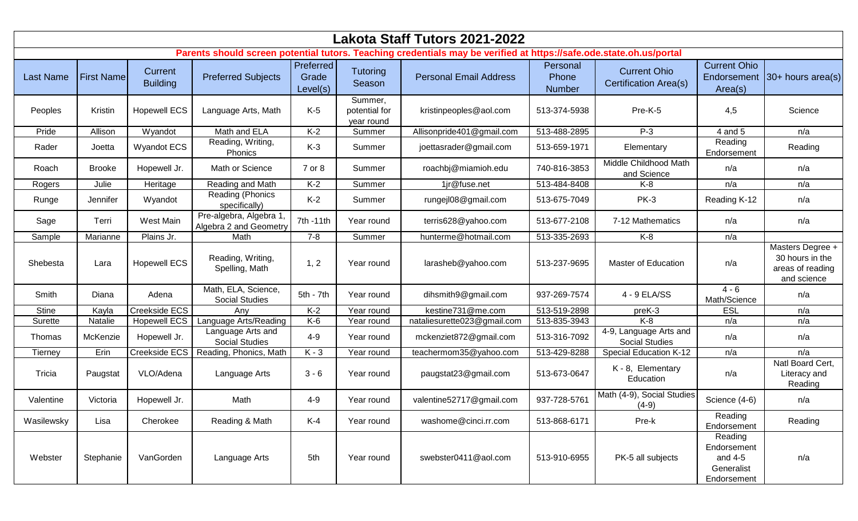| Lakota Staff Tutors 2021-2022                                                                                       |                   |                            |                                                  |                                |                                        |                               |                             |                                                 |                                                                |                                                                        |  |  |
|---------------------------------------------------------------------------------------------------------------------|-------------------|----------------------------|--------------------------------------------------|--------------------------------|----------------------------------------|-------------------------------|-----------------------------|-------------------------------------------------|----------------------------------------------------------------|------------------------------------------------------------------------|--|--|
| Parents should screen potential tutors. Teaching credentials may be verified at https://safe.ode.state.oh.us/portal |                   |                            |                                                  |                                |                                        |                               |                             |                                                 |                                                                |                                                                        |  |  |
| <b>Last Name</b>                                                                                                    | <b>First Name</b> | Current<br><b>Building</b> | <b>Preferred Subjects</b>                        | Preferred<br>Grade<br>Level(s) | Tutoring<br>Season                     | <b>Personal Email Address</b> | Personal<br>Phone<br>Number | <b>Current Ohio</b><br>Certification Area(s)    | <b>Current Ohio</b><br>Area(s)                                 | Endorsement 30+ hours area(s)                                          |  |  |
| Peoples                                                                                                             | Kristin           | <b>Hopewell ECS</b>        | Language Arts, Math                              | $K-5$                          | Summer,<br>potential for<br>year round | kristinpeoples@aol.com        | 513-374-5938                | Pre-K-5                                         | 4,5                                                            | Science                                                                |  |  |
| Pride                                                                                                               | Allison           | Wyandot                    | Math and ELA                                     | $K-2$                          | Summer                                 | Allisonpride401@gmail.com     | 513-488-2895                | $P-3$                                           | 4 and 5                                                        | n/a                                                                    |  |  |
| Rader                                                                                                               | Joetta            | <b>Wyandot ECS</b>         | Reading, Writing,<br>Phonics                     | $K-3$                          | Summer                                 | joettasrader@gmail.com        | 513-659-1971                | Elementary                                      | Reading<br>Endorsement                                         | Reading                                                                |  |  |
| Roach                                                                                                               | <b>Brooke</b>     | Hopewell Jr.               | Math or Science                                  | 7 or 8                         | Summer                                 | roachbj@miamioh.edu           | 740-816-3853                | Middle Childhood Math<br>and Science            | n/a                                                            | n/a                                                                    |  |  |
| Rogers                                                                                                              | Julie             | Heritage                   | Reading and Math                                 | $K-2$                          | Summer                                 | 1jr@fuse.net                  | 513-484-8408                | $K-8$                                           | n/a                                                            | n/a                                                                    |  |  |
| Runge                                                                                                               | Jennifer          | Wyandot                    | Reading (Phonics<br>specifically)                | $K-2$                          | Summer                                 | rungejl08@gmail.com           | 513-675-7049                | <b>PK-3</b>                                     | Reading K-12                                                   | n/a                                                                    |  |  |
| Sage                                                                                                                | Terri             | West Main                  | Pre-algebra, Algebra 1<br>Algebra 2 and Geometry | 7th -11th                      | Year round                             | terris628@yahoo.com           | 513-677-2108                | 7-12 Mathematics                                | n/a                                                            | n/a                                                                    |  |  |
| Sample                                                                                                              | Marianne          | Plains Jr.                 | Math                                             | $7 - 8$                        | Summer                                 | hunterme@hotmail.com          | 513-335-2693                | $K-8$                                           | n/a                                                            |                                                                        |  |  |
| Shebesta                                                                                                            | Lara              | <b>Hopewell ECS</b>        | Reading, Writing,<br>Spelling, Math              | 1, 2                           | Year round                             | larasheb@yahoo.com            | 513-237-9695                | <b>Master of Education</b>                      | n/a                                                            | Masters Degree +<br>30 hours in the<br>areas of reading<br>and science |  |  |
| Smith                                                                                                               | Diana             | Adena                      | Math, ELA, Science,<br><b>Social Studies</b>     | 5th - 7th                      | Year round                             | dihsmith9@gmail.com           | 937-269-7574                | 4 - 9 ELA/SS                                    | $4 - 6$<br>Math/Science                                        | n/a                                                                    |  |  |
| <b>Stine</b>                                                                                                        | Kayla             | Creekside ECS              | Any                                              | $K-2$                          | Year round                             | kestine731@me.com             | 513-519-2898                | preK-3                                          | <b>ESL</b>                                                     | n/a                                                                    |  |  |
| Surette                                                                                                             | Natalie           | <b>Hopewell ECS</b>        | Language Arts/Reading                            | $K-6$                          | Year round                             | nataliesurette023@gmail.com   | 513-835-3943                | $K-8$                                           | n/a                                                            | n/a                                                                    |  |  |
| Thomas                                                                                                              | McKenzie          | Hopewell Jr.               | Language Arts and<br><b>Social Studies</b>       | $4 - 9$                        | Year round                             | mckenziet872@gmail.com        | 513-316-7092                | 4-9, Language Arts and<br><b>Social Studies</b> | n/a                                                            | n/a                                                                    |  |  |
| Tierney                                                                                                             | Erin              | Creekside ECS              | Reading, Phonics, Math                           | $K - 3$                        | Year round                             | teachermom35@yahoo.com        | 513-429-8288                | <b>Special Education K-12</b>                   | n/a                                                            | n/a                                                                    |  |  |
| Tricia                                                                                                              | Paugstat          | VLO/Adena                  | Language Arts                                    | $3 - 6$                        | Year round                             | paugstat23@gmail.com          | 513-673-0647                | K - 8, Elementary<br>Education                  | n/a                                                            | Natl Board Cert,<br>Literacy and<br>Reading                            |  |  |
| Valentine                                                                                                           | Victoria          | Hopewell Jr.               | Math                                             | $4 - 9$                        | Year round                             | valentine52717@gmail.com      | 937-728-5761                | Math (4-9), Social Studies<br>$(4-9)$           | Science (4-6)                                                  | n/a                                                                    |  |  |
| Wasilewsky                                                                                                          | Lisa              | Cherokee                   | Reading & Math                                   | $K-4$                          | Year round                             | washome@cinci.rr.com          | 513-868-6171                | Pre-k                                           | Reading<br>Endorsement                                         | Reading                                                                |  |  |
| Webster                                                                                                             | Stephanie         | VanGorden                  | Language Arts                                    | 5th                            | Year round                             | swebster0411@aol.com          | 513-910-6955                | PK-5 all subjects                               | Reading<br>Endorsement<br>and 4-5<br>Generalist<br>Endorsement | n/a                                                                    |  |  |